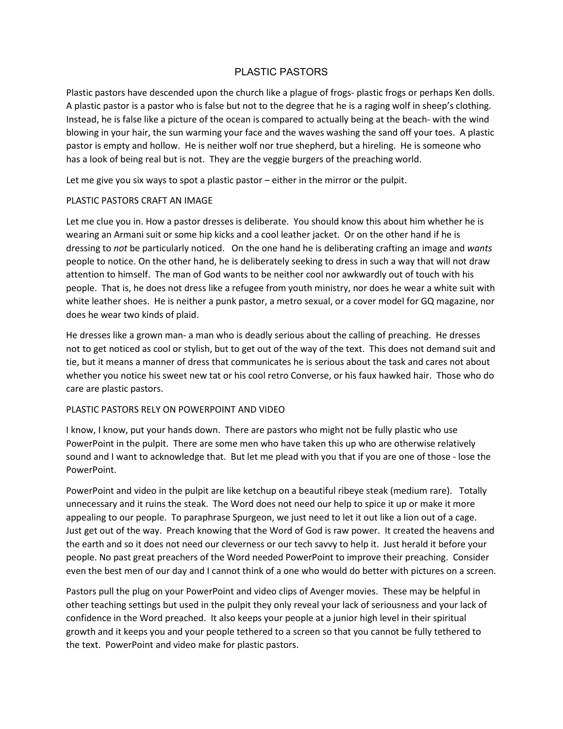# PLASTIC PASTORS

Plastic pastors have descended upon the church like a plague of frogs- plastic frogs or perhaps Ken dolls. A plastic pastor is a pastor who is false but not to the degree that he is a raging wolf in sheep's clothing. Instead, he is false like a picture of the ocean is compared to actually being at the beach- with the wind blowing in your hair, the sun warming your face and the waves washing the sand off your toes. A plastic pastor is empty and hollow. He is neither wolf nor true shepherd, but a hireling. He is someone who has a look of being real but is not. They are the veggie burgers of the preaching world.

Let me give you six ways to spot a plastic pastor – either in the mirror or the pulpit.

#### PLASTIC PASTORS CRAFT AN IMAGE

Let me clue you in. How a pastor dresses is deliberate. You should know this about him whether he is wearing an Armani suit or some hip kicks and a cool leather jacket. Or on the other hand if he is dressing to *not* be particularly noticed. On the one hand he is deliberating crafting an image and *wants* people to notice. On the other hand, he is deliberately seeking to dress in such a way that will not draw attention to himself. The man of God wants to be neither cool nor awkwardly out of touch with his people. That is, he does not dress like a refugee from youth ministry, nor does he wear a white suit with white leather shoes. He is neither a punk pastor, a metro sexual, or a cover model for GQ magazine, nor does he wear two kinds of plaid.

He dresses like a grown man- a man who is deadly serious about the calling of preaching. He dresses not to get noticed as cool or stylish, but to get out of the way of the text. This does not demand suit and tie, but it means a manner of dress that communicates he is serious about the task and cares not about whether you notice his sweet new tat or his cool retro Converse, or his faux hawked hair. Those who do care are plastic pastors.

## PLASTIC PASTORS RELY ON POWERPOINT AND VIDEO

I know, I know, put your hands down. There are pastors who might not be fully plastic who use PowerPoint in the pulpit. There are some men who have taken this up who are otherwise relatively sound and I want to acknowledge that. But let me plead with you that if you are one of those - lose the PowerPoint.

PowerPoint and video in the pulpit are like ketchup on a beautiful ribeye steak (medium rare). Totally unnecessary and it ruins the steak. The Word does not need our help to spice it up or make it more appealing to our people. To paraphrase Spurgeon, we just need to let it out like a lion out of a cage. Just get out of the way. Preach knowing that the Word of God is raw power. It created the heavens and the earth and so it does not need our cleverness or our tech savvy to help it. Just herald it before your people. No past great preachers of the Word needed PowerPoint to improve their preaching. Consider even the best men of our day and I cannot think of a one who would do better with pictures on a screen.

Pastors pull the plug on your PowerPoint and video clips of Avenger movies. These may be helpful in other teaching settings but used in the pulpit they only reveal your lack of seriousness and your lack of confidence in the Word preached. It also keeps your people at a junior high level in their spiritual growth and it keeps you and your people tethered to a screen so that you cannot be fully tethered to the text. PowerPoint and video make for plastic pastors.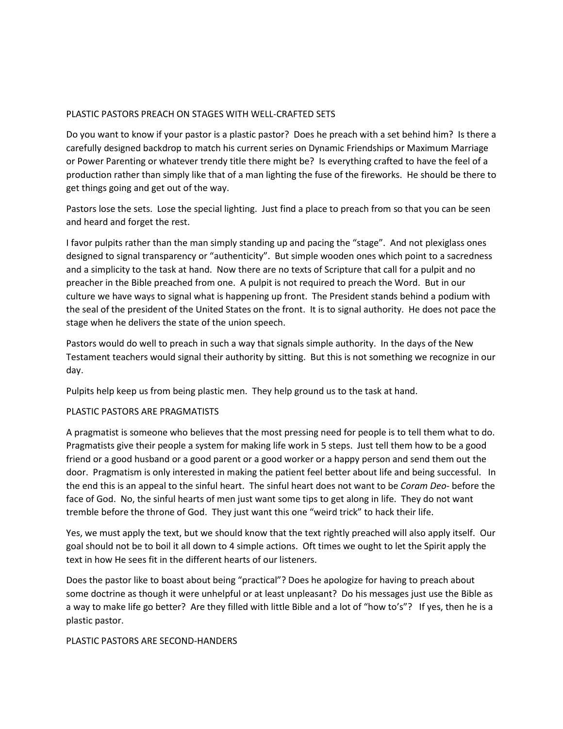## PLASTIC PASTORS PREACH ON STAGES WITH WELL-CRAFTED SETS

Do you want to know if your pastor is a plastic pastor? Does he preach with a set behind him? Is there a carefully designed backdrop to match his current series on Dynamic Friendships or Maximum Marriage or Power Parenting or whatever trendy title there might be? Is everything crafted to have the feel of a production rather than simply like that of a man lighting the fuse of the fireworks. He should be there to get things going and get out of the way.

Pastors lose the sets. Lose the special lighting. Just find a place to preach from so that you can be seen and heard and forget the rest.

I favor pulpits rather than the man simply standing up and pacing the "stage". And not plexiglass ones designed to signal transparency or "authenticity". But simple wooden ones which point to a sacredness and a simplicity to the task at hand. Now there are no texts of Scripture that call for a pulpit and no preacher in the Bible preached from one. A pulpit is not required to preach the Word. But in our culture we have ways to signal what is happening up front. The President stands behind a podium with the seal of the president of the United States on the front. It is to signal authority. He does not pace the stage when he delivers the state of the union speech.

Pastors would do well to preach in such a way that signals simple authority. In the days of the New Testament teachers would signal their authority by sitting. But this is not something we recognize in our day.

Pulpits help keep us from being plastic men. They help ground us to the task at hand.

#### PLASTIC PASTORS ARE PRAGMATISTS

A pragmatist is someone who believes that the most pressing need for people is to tell them what to do. Pragmatists give their people a system for making life work in 5 steps. Just tell them how to be a good friend or a good husband or a good parent or a good worker or a happy person and send them out the door. Pragmatism is only interested in making the patient feel better about life and being successful. In the end this is an appeal to the sinful heart. The sinful heart does not want to be *Coram Deo*- before the face of God. No, the sinful hearts of men just want some tips to get along in life. They do not want tremble before the throne of God. They just want this one "weird trick" to hack their life.

Yes, we must apply the text, but we should know that the text rightly preached will also apply itself. Our goal should not be to boil it all down to 4 simple actions. Oft times we ought to let the Spirit apply the text in how He sees fit in the different hearts of our listeners.

Does the pastor like to boast about being "practical"? Does he apologize for having to preach about some doctrine as though it were unhelpful or at least unpleasant? Do his messages just use the Bible as a way to make life go better? Are they filled with little Bible and a lot of "how to's"? If yes, then he is a plastic pastor.

#### PLASTIC PASTORS ARE SECOND-HANDERS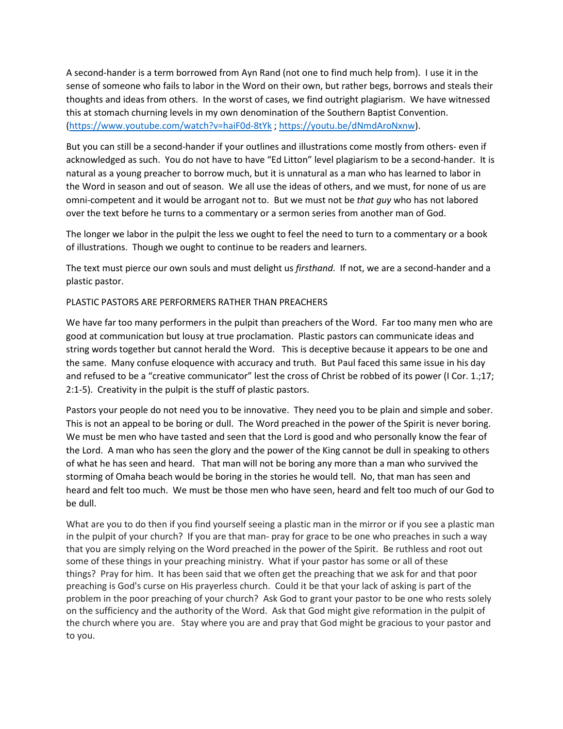A second-hander is a term borrowed from Ayn Rand (not one to find much help from). I use it in the sense of someone who fails to labor in the Word on their own, but rather begs, borrows and steals their thoughts and ideas from others. In the worst of cases, we find outright plagiarism. We have witnessed this at stomach churning levels in my own denomination of the Southern Baptist Convention. [\(https://www.youtube.com/watch?v=haiF0d-8tYk](https://www.youtube.com/watch?v=haiF0d-8tYk) [; https://youtu.be/dNmdAroNxnw\)](https://youtu.be/dNmdAroNxnw).

But you can still be a second-hander if your outlines and illustrations come mostly from others- even if acknowledged as such. You do not have to have "Ed Litton" level plagiarism to be a second-hander. It is natural as a young preacher to borrow much, but it is unnatural as a man who has learned to labor in the Word in season and out of season. We all use the ideas of others, and we must, for none of us are omni-competent and it would be arrogant not to. But we must not be *that guy* who has not labored over the text before he turns to a commentary or a sermon series from another man of God.

The longer we labor in the pulpit the less we ought to feel the need to turn to a commentary or a book of illustrations. Though we ought to continue to be readers and learners.

The text must pierce our own souls and must delight us *firsthand*. If not, we are a second-hander and a plastic pastor.

## PLASTIC PASTORS ARE PERFORMERS RATHER THAN PREACHERS

We have far too many performers in the pulpit than preachers of the Word. Far too many men who are good at communication but lousy at true proclamation. Plastic pastors can communicate ideas and string words together but cannot herald the Word. This is deceptive because it appears to be one and the same. Many confuse eloquence with accuracy and truth. But Paul faced this same issue in his day and refused to be a "creative communicator" lest the cross of Christ be robbed of its power (I Cor. 1.;17; 2:1-5). Creativity in the pulpit is the stuff of plastic pastors.

Pastors your people do not need you to be innovative. They need you to be plain and simple and sober. This is not an appeal to be boring or dull. The Word preached in the power of the Spirit is never boring. We must be men who have tasted and seen that the Lord is good and who personally know the fear of the Lord. A man who has seen the glory and the power of the King cannot be dull in speaking to others of what he has seen and heard. That man will not be boring any more than a man who survived the storming of Omaha beach would be boring in the stories he would tell. No, that man has seen and heard and felt too much. We must be those men who have seen, heard and felt too much of our God to be dull.

What are you to do then if you find yourself seeing a plastic man in the mirror or if you see a plastic man in the pulpit of your church? If you are that man- pray for grace to be one who preaches in such a way that you are simply relying on the Word preached in the power of the Spirit. Be ruthless and root out some of these things in your preaching ministry. What if your pastor has some or all of these things? Pray for him. It has been said that we often get the preaching that we ask for and that poor preaching is God's curse on His prayerless church. Could it be that your lack of asking is part of the problem in the poor preaching of your church? Ask God to grant your pastor to be one who rests solely on the sufficiency and the authority of the Word. Ask that God might give reformation in the pulpit of the church where you are. Stay where you are and pray that God might be gracious to your pastor and to you.